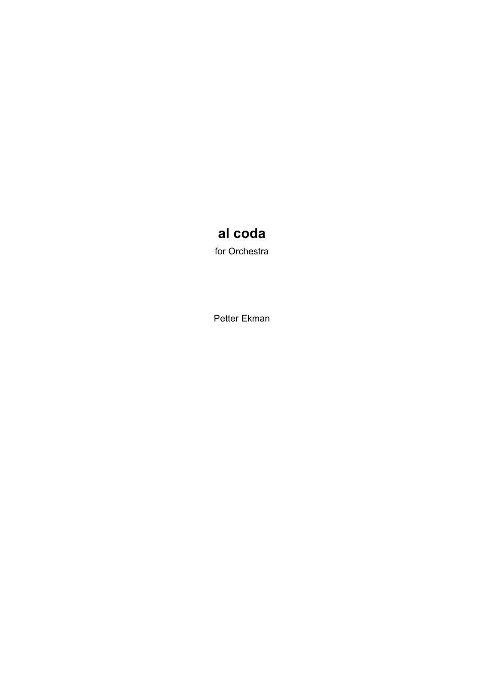Petter Ekman

for Orchestra

## **al coda**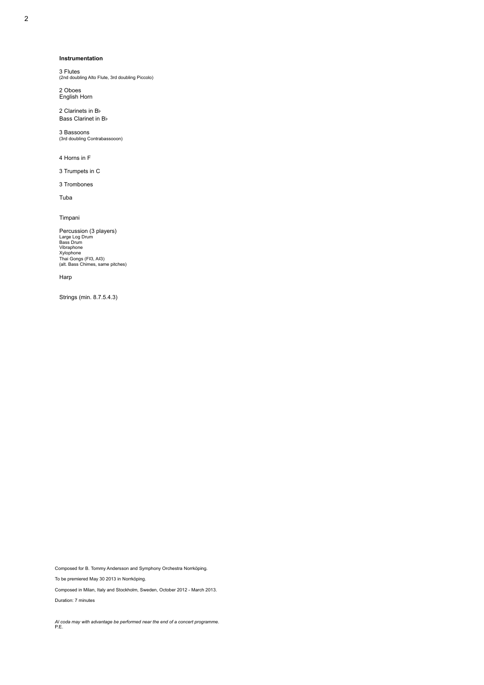## **Instrumentation**

3 Flutes (2nd doubling Alto Flute, 3rd doubling Piccolo)

2 Oboes English Horn

2 Clarinets in Bb Bass Clarinet in Bb

3 Bassoons (3rd doubling Contrabassooon)

4 Horns in F

3 Trumpets in C

3 Trombones

Tuba

Timpani

Percussion (3 players) Large Log Drum Bass Drum Vibraphone Xylophone Thai Gongs (F#3, A#3) (alt. Bass Chimes, same pitches)

Harp

Strings (min. 8.7.5.4.3)

Composed for B. Tommy Andersson and Symphony Orchestra Norrköping.

To be premiered May 30 2013 in Norrköping.

Composed in Milan, Italy and Stockholm, Sweden, October 2012 - March 2013.

Duration: 7 minutes

*Al coda may with advantage be performed near the end of a concert programme.* P.E.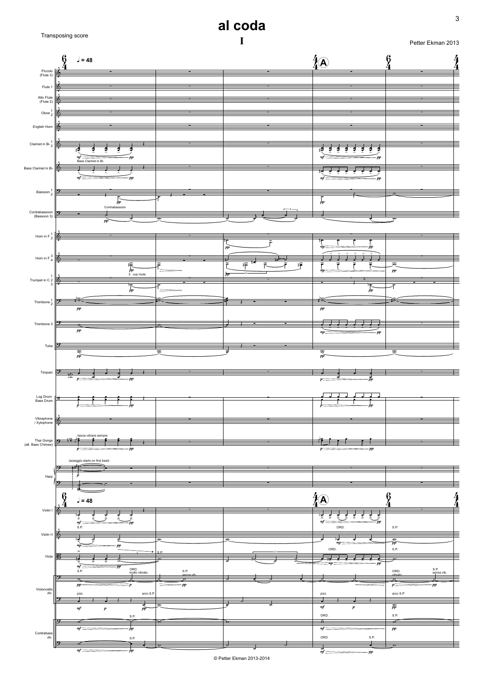© Petter Ekman 2013-2014



**al coda**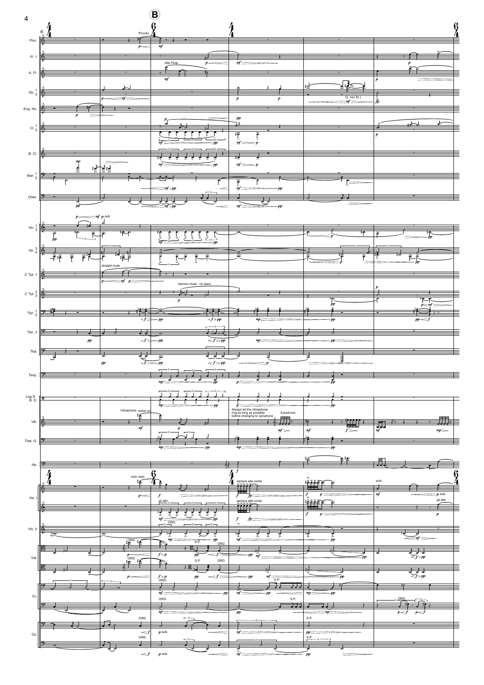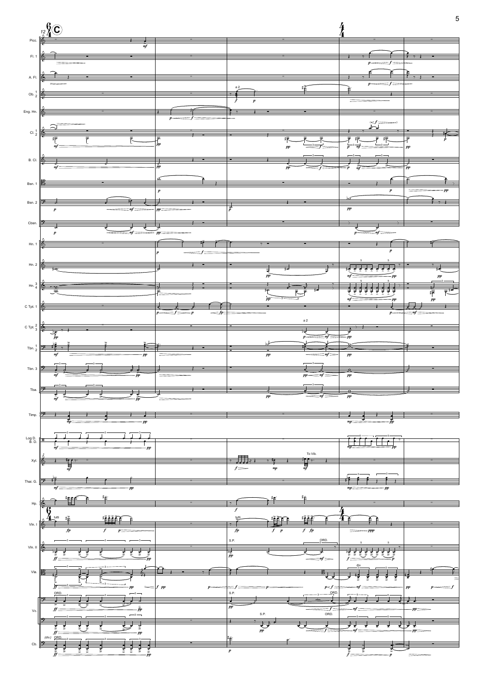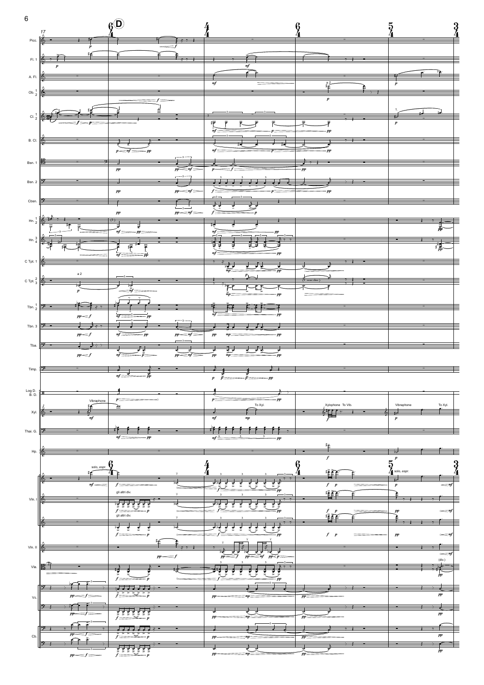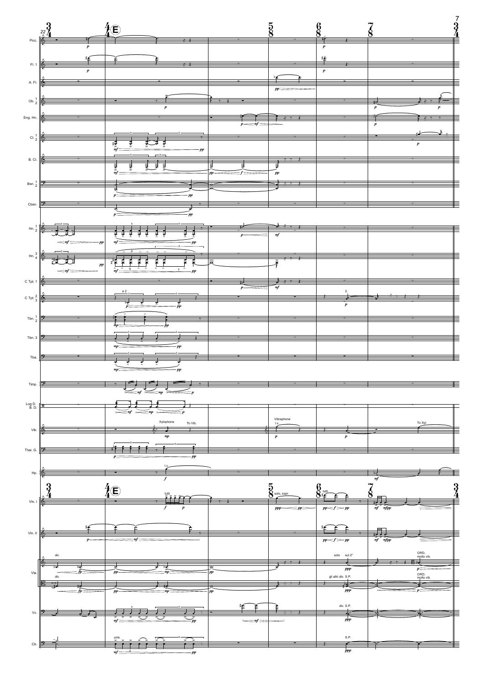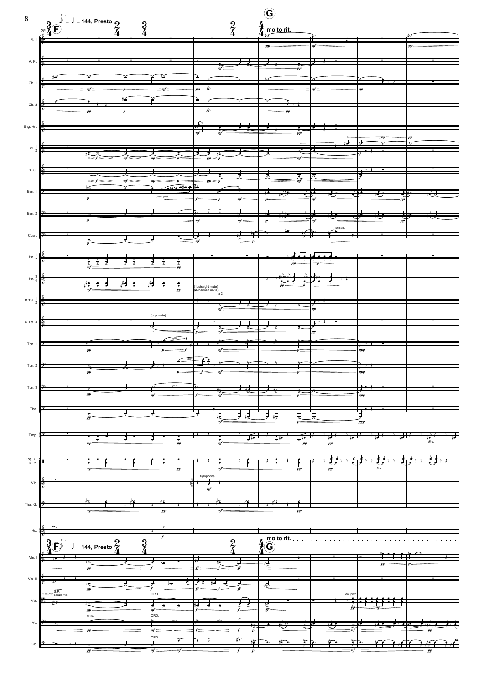

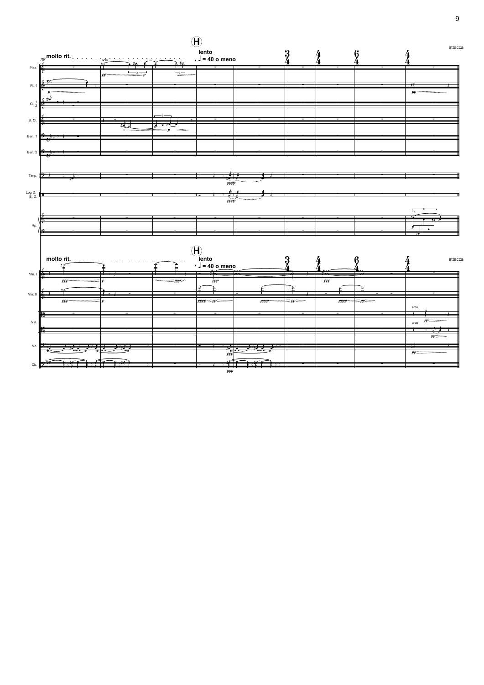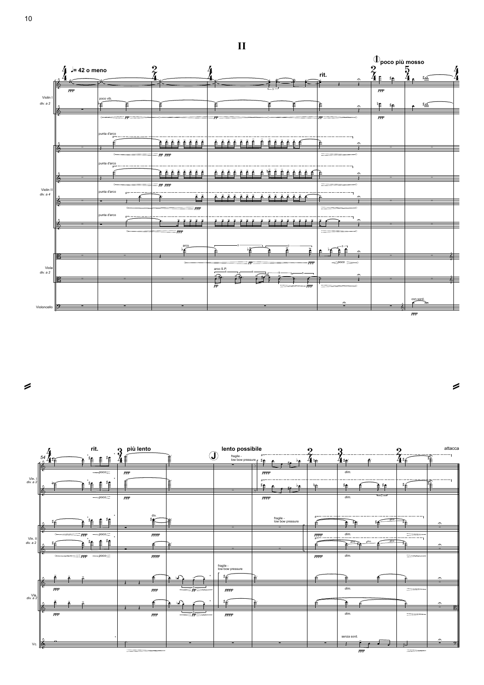



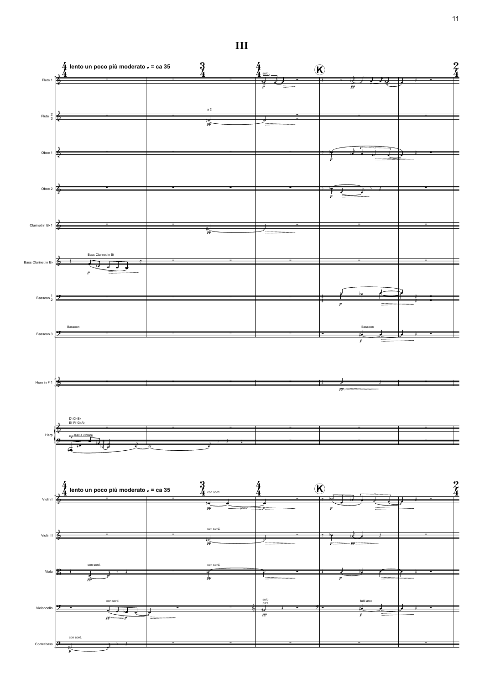**III**

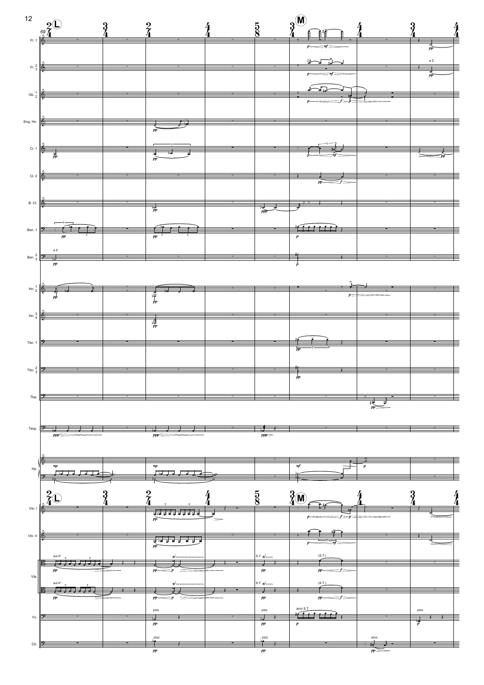